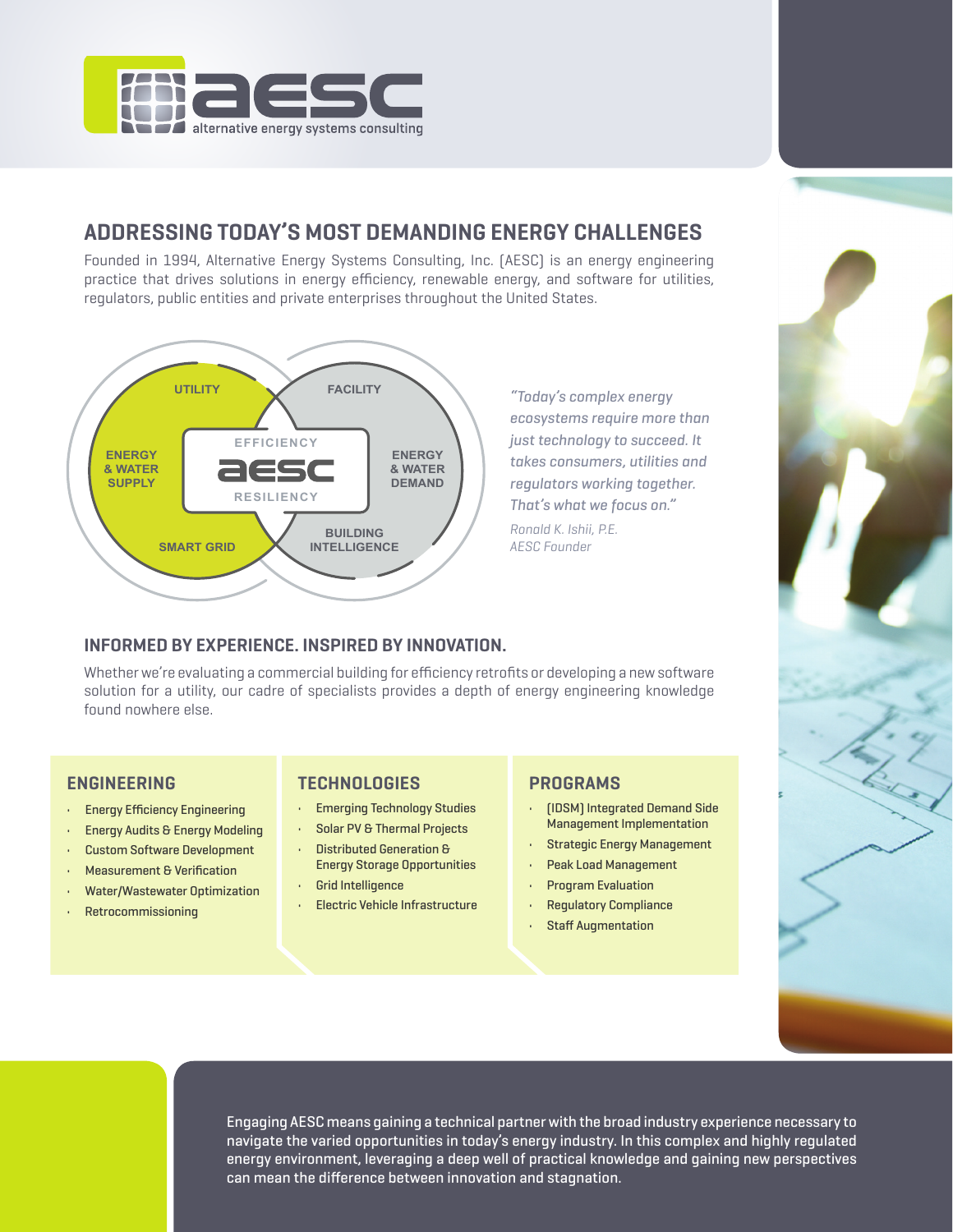

# **ADDRESSING TODAY'S MOST DEMANDING ENERGY CHALLENGES**

Founded in 1994, Alternative Energy Systems Consulting, Inc. (AESC) is an energy engineering practice that drives solutions in energy efficiency, renewable energy, and software for utilities, regulators, public entities and private enterprises throughout the United States.



*"Today's complex energy ecosystems require more than just technology to succeed. It takes consumers, utilities and regulators working together. That's what we focus on." Ronald K. Ishii, P.E. AESC Founder*

### **INFORMED BY EXPERIENCE. INSPIRED BY INNOVATION.**

Whether we're evaluating a commercial building for efficiency retrofits or developing a new software solution for a utility, our cadre of specialists provides a depth of energy engineering knowledge found nowhere else.

- Energy Efficiency Engineering
- Energy Audits & Energy Modeling
- Custom Software Development
- Measurement & Verification
- Water/Wastewater Optimization
- Retrocommissioning

#### **ENGINEERING TECHNOLOGIES PROGRAMS**

- Emerging Technology Studies
- Solar PV & Thermal Projects • Distributed Generation &
- Energy Storage Opportunities
- Grid Intelligence
- Electric Vehicle Infrastructure

- (IDSM) Integrated Demand Side Management Implementation
- Strategic Energy Management
- Peak Load Management
- Program Evaluation
- Regulatory Compliance
- **Staff Augmentation**



Engaging AESC means gaining a technical partner with the broad industry experience necessary to navigate the varied opportunities in today's energy industry. In this complex and highly regulated energy environment, leveraging a deep well of practical knowledge and gaining new perspectives can mean the difference between innovation and stagnation.